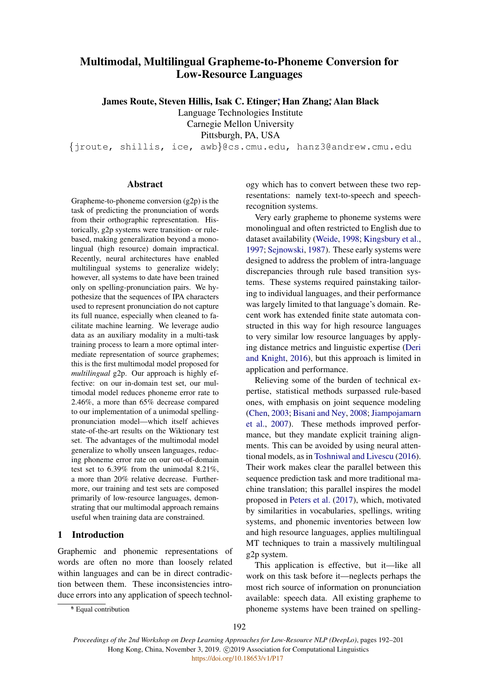# <span id="page-0-0"></span>Multimodal, Multilingual Grapheme-to-Phoneme Conversion for Low-Resource Languages

James Route, Steven Hillis, Isak C. Etinger;\* Han Zhang;\* Alan Black

Language Technologies Institute

Carnegie Mellon University

Pittsburgh, PA, USA

{jroute, shillis, ice, awb}@cs.cmu.edu, hanz3@andrew.cmu.edu

### Abstract

Grapheme-to-phoneme conversion (g2p) is the task of predicting the pronunciation of words from their orthographic representation. Historically, g2p systems were transition- or rulebased, making generalization beyond a monolingual (high resource) domain impractical. Recently, neural architectures have enabled multilingual systems to generalize widely; however, all systems to date have been trained only on spelling-pronunciation pairs. We hypothesize that the sequences of IPA characters used to represent pronunciation do not capture its full nuance, especially when cleaned to facilitate machine learning. We leverage audio data as an auxiliary modality in a multi-task training process to learn a more optimal intermediate representation of source graphemes; this is the first multimodal model proposed for *multilingual* g2p. Our approach is highly effective: on our in-domain test set, our multimodal model reduces phoneme error rate to 2.46%, a more than 65% decrease compared to our implementation of a unimodal spellingpronunciation model—which itself achieves state-of-the-art results on the Wiktionary test set. The advantages of the multimodal model generalize to wholly unseen languages, reducing phoneme error rate on our out-of-domain test set to 6.39% from the unimodal 8.21%, a more than 20% relative decrease. Furthermore, our training and test sets are composed primarily of low-resource languages, demonstrating that our multimodal approach remains useful when training data are constrained.

## 1 Introduction

Graphemic and phonemic representations of words are often no more than loosely related within languages and can be in direct contradiction between them. These inconsistencies introduce errors into any application of speech technology which has to convert between these two representations: namely text-to-speech and speechrecognition systems.

Very early grapheme to phoneme systems were monolingual and often restricted to English due to dataset availability [\(Weide,](#page-8-0) [1998;](#page-8-0) [Kingsbury et al.,](#page-8-1) [1997;](#page-8-1) [Sejnowski,](#page-8-2) [1987\)](#page-8-2). These early systems were designed to address the problem of intra-language discrepancies through rule based transition systems. These systems required painstaking tailoring to individual languages, and their performance was largely limited to that language's domain. Recent work has extended finite state automata constructed in this way for high resource languages to very similar low resource languages by applying distance metrics and linguistic expertise [\(Deri](#page-8-3) [and Knight,](#page-8-3) [2016\)](#page-8-3), but this approach is limited in application and performance.

Relieving some of the burden of technical expertise, statistical methods surpassed rule-based ones, with emphasis on joint sequence modeling [\(Chen,](#page-8-4) [2003;](#page-8-4) [Bisani and Ney,](#page-8-5) [2008;](#page-8-5) [Jiampojamarn](#page-8-6) [et al.,](#page-8-6) [2007\)](#page-8-6). These methods improved performance, but they mandate explicit training alignments. This can be avoided by using neural attentional models, as in [Toshniwal and Livescu](#page-8-7) [\(2016\)](#page-8-7). Their work makes clear the parallel between this sequence prediction task and more traditional machine translation; this parallel inspires the model proposed in [Peters et al.](#page-8-8) [\(2017\)](#page-8-8), which, motivated by similarities in vocabularies, spellings, writing systems, and phonemic inventories between low and high resource languages, applies multilingual MT techniques to train a massively multilingual g2p system.

This application is effective, but it—like all work on this task before it—neglects perhaps the most rich source of information on pronunciation available: speech data. All existing grapheme to phoneme systems have been trained on spelling-

<sup>∗</sup> \* Equal contribution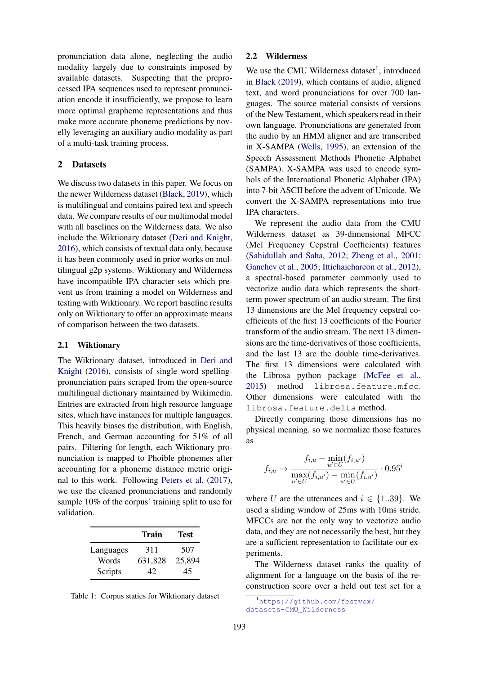pronunciation data alone, neglecting the audio modality largely due to constraints imposed by available datasets. Suspecting that the preprocessed IPA sequences used to represent pronunciation encode it insufficiently, we propose to learn more optimal grapheme representations and thus make more accurate phoneme predictions by novelly leveraging an auxiliary audio modality as part of a multi-task training process.

### 2 Datasets

We discuss two datasets in this paper. We focus on the newer Wilderness dataset [\(Black,](#page-8-9) [2019\)](#page-8-9), which is multilingual and contains paired text and speech data. We compare results of our multimodal model with all baselines on the Wilderness data. We also include the Wiktionary dataset [\(Deri and Knight,](#page-8-3) [2016\)](#page-8-3), which consists of textual data only, because it has been commonly used in prior works on multilingual g2p systems. Wiktionary and Wilderness have incompatible IPA character sets which prevent us from training a model on Wilderness and testing with Wiktionary. We report baseline results only on Wiktionary to offer an approximate means of comparison between the two datasets.

#### 2.1 Wiktionary

The Wiktionary dataset, introduced in [Deri and](#page-8-3) [Knight](#page-8-3) [\(2016\)](#page-8-3), consists of single word spellingpronunciation pairs scraped from the open-source multilingual dictionary maintained by Wikimedia. Entries are extracted from high resource language sites, which have instances for multiple languages. This heavily biases the distribution, with English, French, and German accounting for 51% of all pairs. Filtering for length, each Wiktionary pronunciation is mapped to Phoible phonemes after accounting for a phoneme distance metric original to this work. Following [Peters et al.](#page-8-8) [\(2017\)](#page-8-8), we use the cleaned pronunciations and randomly sample 10% of the corpus' training split to use for validation.

|           | Train   | Test   |
|-----------|---------|--------|
| Languages | 311     | 507    |
| Words     | 631,828 | 25,894 |
| Scripts   | 42      | 45     |

Table 1: Corpus statics for Wiktionary dataset

#### 2.2 Wilderness

We use the CMU Wilderness dataset<sup>[1](#page-1-0)</sup>, introduced in [Black](#page-8-9) [\(2019\)](#page-8-9), which contains of audio, aligned text, and word pronunciations for over 700 languages. The source material consists of versions of the New Testament, which speakers read in their own language. Pronunciations are generated from the audio by an HMM aligner and are transcribed in X-SAMPA [\(Wells,](#page-9-0) [1995\)](#page-9-0), an extension of the Speech Assessment Methods Phonetic Alphabet (SAMPA). X-SAMPA was used to encode symbols of the International Phonetic Alphabet (IPA) into 7-bit ASCII before the advent of Unicode. We convert the X-SAMPA representations into true IPA characters.

We represent the audio data from the CMU Wilderness dataset as 39-dimensional MFCC (Mel Frequency Cepstral Coefficients) features [\(Sahidullah and Saha,](#page-8-10) [2012;](#page-8-10) [Zheng et al.,](#page-9-1) [2001;](#page-9-1) [Ganchev et al.,](#page-8-11) [2005;](#page-8-11) [Ittichaichareon et al.,](#page-8-12) [2012\)](#page-8-12), a spectral-based parameter commonly used to vectorize audio data which represents the shortterm power spectrum of an audio stream. The first 13 dimensions are the Mel frequency cepstral coefficients of the first 13 coefficients of the Fourier transform of the audio stream. The next 13 dimensions are the time-derivatives of those coefficients, and the last 13 are the double time-derivatives. The first 13 dimensions were calculated with the Librosa python package [\(McFee et al.,](#page-8-13) [2015\)](#page-8-13) method librosa.feature.mfcc. Other dimensions were calculated with the librosa.feature.delta method.

Directly comparing those dimensions has no physical meaning, so we normalize those features as

$$
f_{i,u} \to \frac{f_{i,u} - \min_{u' \in U} (f_{i,u'})}{\max_{u' \in U} (f_{i,u'}) - \min_{u' \in U} (f_{i,u'})} \cdot 0.95^i
$$

where U are the utterances and  $i \in \{1..39\}$ . We used a sliding window of 25ms with 10ms stride. MFCCs are not the only way to vectorize audio data, and they are not necessarily the best, but they are a sufficient representation to facilitate our experiments.

The Wilderness dataset ranks the quality of alignment for a language on the basis of the reconstruction score over a held out test set for a

<span id="page-1-0"></span><sup>1</sup>[https://github.com/festvox/](https://github.com/festvox/datasets-CMU_Wilderness) [datasets-CMU\\_Wilderness](https://github.com/festvox/datasets-CMU_Wilderness)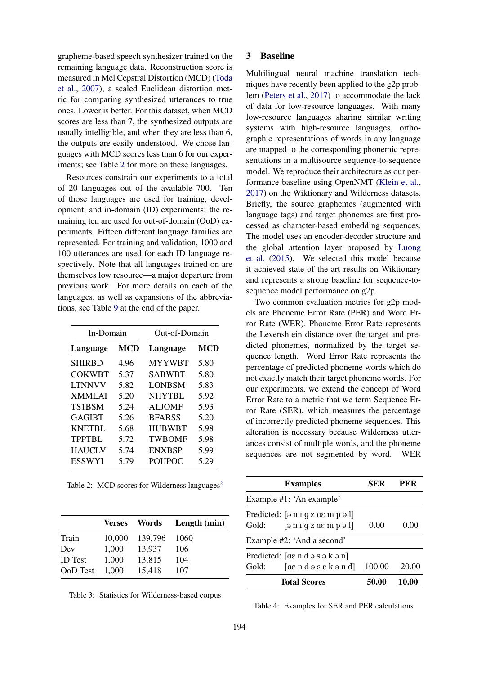grapheme-based speech synthesizer trained on the remaining language data. Reconstruction score is measured in Mel Cepstral Distortion (MCD) [\(Toda](#page-8-14) [et al.,](#page-8-14) [2007\)](#page-8-14), a scaled Euclidean distortion metric for comparing synthesized utterances to true ones. Lower is better. For this dataset, when MCD scores are less than 7, the synthesized outputs are usually intelligible, and when they are less than 6, the outputs are easily understood. We chose languages with MCD scores less than 6 for our experiments; see Table [2](#page-2-0) for more on these languages.

Resources constrain our experiments to a total of 20 languages out of the available 700. Ten of those languages are used for training, development, and in-domain (ID) experiments; the remaining ten are used for out-of-domain (OoD) experiments. Fifteen different language families are represented. For training and validation, 1000 and 100 utterances are used for each ID language respectively. Note that all languages trained on are themselves low resource—a major departure from previous work. For more details on each of the languages, as well as expansions of the abbreviations, see Table [9](#page-6-0) at the end of the paper.

<span id="page-2-0"></span>

| In-Domain     |      | Out-of-Domain |      |  |
|---------------|------|---------------|------|--|
| Language      | MCD  | Language      | MCD  |  |
| <b>SHIRBD</b> | 4.96 | <b>MYYWBT</b> | 5.80 |  |
| <b>COKWBT</b> | 5.37 | <b>SABWBT</b> | 5.80 |  |
| <b>LTNNVV</b> | 5.82 | LONBSM        | 5.83 |  |
| <b>XMMLAI</b> | 5.20 | NHYTBL        | 5.92 |  |
| TS1BSM        | 5.24 | <b>ALJOMF</b> | 5.93 |  |
| GAGIBT        | 5.26 | <b>BFABSS</b> | 5.20 |  |
| <b>KNETBL</b> | 5.68 | <b>HUBWBT</b> | 5.98 |  |
| <b>TPPTBL</b> | 5.72 | <b>TWBOMF</b> | 5.98 |  |
| <b>HAUCLV</b> | 5.74 | <b>ENXBSP</b> | 5.99 |  |
| <b>ESSWYI</b> | 5.79 | <b>POHPOC</b> | 5.29 |  |

Table [2](#page-0-0): MCD scores for Wilderness languages<sup>2</sup>

|                | <b>Verses</b> | Words   | Length (min) |
|----------------|---------------|---------|--------------|
| Train          | 10,000        | 139,796 | 1060         |
| Dev            | 1,000         | 13,937  | 106          |
| <b>ID</b> Test | 1,000         | 13,815  | 104          |
| OoD Test       | 1,000         | 15,418  | 107          |
|                |               |         |              |

Table 3: Statistics for Wilderness-based corpus

#### 3 Baseline

Multilingual neural machine translation techniques have recently been applied to the g2p problem [\(Peters et al.,](#page-8-8) [2017\)](#page-8-8) to accommodate the lack of data for low-resource languages. With many low-resource languages sharing similar writing systems with high-resource languages, orthographic representations of words in any language are mapped to the corresponding phonemic representations in a multisource sequence-to-sequence model. We reproduce their architecture as our performance baseline using OpenNMT [\(Klein et al.,](#page-8-15) [2017\)](#page-8-15) on the Wiktionary and Wilderness datasets. Briefly, the source graphemes (augmented with language tags) and target phonemes are first processed as character-based embedding sequences. The model uses an encoder-decoder structure and the global attention layer proposed by [Luong](#page-8-16) [et al.](#page-8-16) [\(2015\)](#page-8-16). We selected this model because it achieved state-of-the-art results on Wiktionary and represents a strong baseline for sequence-tosequence model performance on g2p.

Two common evaluation metrics for g2p models are Phoneme Error Rate (PER) and Word Error Rate (WER). Phoneme Error Rate represents the Levenshtein distance over the target and predicted phonemes, normalized by the target sequence length. Word Error Rate represents the percentage of predicted phoneme words which do not exactly match their target phoneme words. For our experiments, we extend the concept of Word Error Rate to a metric that we term Sequence Error Rate (SER), which measures the percentage of incorrectly predicted phoneme sequences. This alteration is necessary because Wilderness utterances consist of multiple words, and the phoneme sequences are not segmented by word. WER

| <b>Examples</b>                                                                                                                                                                                                                          | SER    | PER          |
|------------------------------------------------------------------------------------------------------------------------------------------------------------------------------------------------------------------------------------------|--------|--------------|
| Example #1: 'An example'                                                                                                                                                                                                                 |        |              |
| Predicted: $\lceil \Theta n \rceil$ g z as m p $\Theta$ 1]<br>Gold:<br>$\lceil \Theta \ln q \, z \, \alpha \epsilon \, m \, p \Theta \, l \rceil$                                                                                        | 0.00   | 0.00         |
| Example #2: 'And a second'                                                                                                                                                                                                               |        |              |
| Predicted: $[ae \, n \, d \, o \, s \, o \, k \, o \, n]$<br>Gold:<br>$[\alpha \varepsilon \nabla \alpha \nabla \alpha \nabla \alpha \nabla \alpha \nabla \alpha \nabla \alpha \nabla \alpha \nabla \alpha \nabla \alpha \nabla \alpha]$ | 100.00 | 20.00        |
| <b>Total Scores</b>                                                                                                                                                                                                                      | 50.00  | <b>10.00</b> |

Table 4: Examples for SER and PER calculations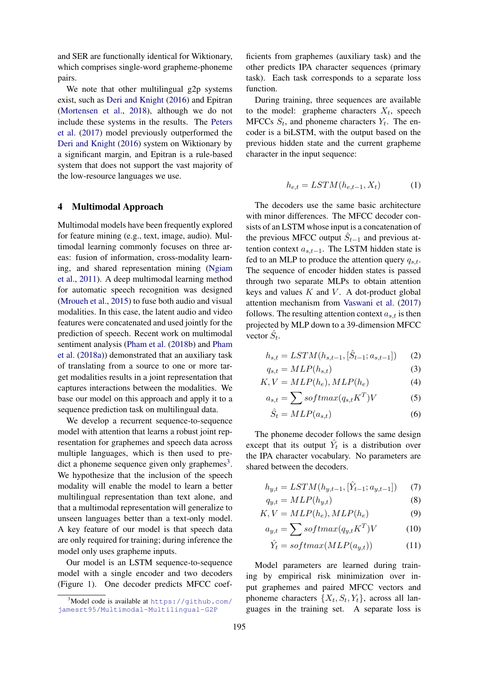and SER are functionally identical for Wiktionary, which comprises single-word grapheme-phoneme pairs.

We note that other multilingual g2p systems exist, such as [Deri and Knight](#page-8-3) [\(2016\)](#page-8-3) and Epitran [\(Mortensen et al.,](#page-8-17) [2018\)](#page-8-17), although we do not include these systems in the results. The [Peters](#page-8-8) [et al.](#page-8-8) [\(2017\)](#page-8-8) model previously outperformed the [Deri and Knight](#page-8-3) [\(2016\)](#page-8-3) system on Wiktionary by a significant margin, and Epitran is a rule-based system that does not support the vast majority of the low-resource languages we use.

## 4 Multimodal Approach

Multimodal models have been frequently explored for feature mining (e.g., text, image, audio). Multimodal learning commonly focuses on three areas: fusion of information, cross-modality learning, and shared representation mining [\(Ngiam](#page-8-18) [et al.,](#page-8-18) [2011\)](#page-8-18). A deep multimodal learning method for automatic speech recognition was designed [\(Mroueh et al.,](#page-8-19) [2015\)](#page-8-19) to fuse both audio and visual modalities. In this case, the latent audio and video features were concatenated and used jointly for the prediction of speech. Recent work on multimodal sentiment analysis [\(Pham et al.](#page-8-20) [\(2018b\)](#page-8-20) and [Pham](#page-8-21) [et al.](#page-8-21) [\(2018a\)](#page-8-21)) demonstrated that an auxiliary task of translating from a source to one or more target modalities results in a joint representation that captures interactions between the modalities. We base our model on this approach and apply it to a sequence prediction task on multilingual data.

We develop a recurrent sequence-to-sequence model with attention that learns a robust joint representation for graphemes and speech data across multiple languages, which is then used to pre-dict a phoneme sequence given only graphemes<sup>[3](#page-3-0)</sup>. We hypothesize that the inclusion of the speech modality will enable the model to learn a better multilingual representation than text alone, and that a multimodal representation will generalize to unseen languages better than a text-only model. A key feature of our model is that speech data are only required for training; during inference the model only uses grapheme inputs.

Our model is an LSTM sequence-to-sequence model with a single encoder and two decoders (Figure [1\)](#page-4-0). One decoder predicts MFCC coef-

ficients from graphemes (auxiliary task) and the other predicts IPA character sequences (primary task). Each task corresponds to a separate loss function.

During training, three sequences are available to the model: grapheme characters  $X_t$ , speech MFCCs  $S_t$ , and phoneme characters  $Y_t$ . The encoder is a biLSTM, with the output based on the previous hidden state and the current grapheme character in the input sequence:

$$
h_{e,t} = LSTM(h_{e,t-1}, X_t)
$$
 (1)

The decoders use the same basic architecture with minor differences. The MFCC decoder consists of an LSTM whose input is a concatenation of the previous MFCC output  $\hat{S}_{t-1}$  and previous attention context  $a_{s,t-1}$ . The LSTM hidden state is fed to an MLP to produce the attention query  $q_{s,t}$ . The sequence of encoder hidden states is passed through two separate MLPs to obtain attention keys and values  $K$  and  $V$ . A dot-product global attention mechanism from [Vaswani et al.](#page-8-22) [\(2017\)](#page-8-22) follows. The resulting attention context  $a_{s,t}$  is then projected by MLP down to a 39-dimension MFCC vector  $\hat{S}_t$ .

$$
h_{s,t} = LSTM(h_{s,t-1}, [\hat{S}_{t-1}; a_{s,t-1}])
$$
 (2)

$$
q_{s,t} = MLP(h_{s,t})
$$
\n(3)

$$
K, V = MLP(h_e), MLP(h_e)
$$
 (4)

$$
a_{s,t} = \sum softmax(q_{s,t}K^T)V \tag{5}
$$

$$
\hat{S}_t = MLP(a_{s,t})
$$
\n(6)

The phoneme decoder follows the same design except that its output  $\hat{Y}_t$  is a distribution over the IPA character vocabulary. No parameters are shared between the decoders.

$$
h_{y,t} = LSTM(h_{y,t-1}, [\hat{Y}_{t-1}; a_{y,t-1}])
$$
 (7)

$$
q_{y,t} = MLP(h_{y,t})
$$
\n(8)

$$
K, V = MLP(h_e), MLP(h_e)
$$
 (9)

$$
a_{y,t} = \sum \, softmax(q_{y,t} K^T) V \tag{10}
$$

$$
\hat{Y}_t = softmax(MLP(a_{y,t})) \tag{11}
$$

Model parameters are learned during training by empirical risk minimization over input graphemes and paired MFCC vectors and phoneme characters  $\{X_t, S_t, Y_t\}$ , across all languages in the training set. A separate loss is

<span id="page-3-0"></span> $3$ Model code is available at [https://github.com/](https://github.com/jamesrt95/Multimodal-Multilingual-G2P) [jamesrt95/Multimodal-Multilingual-G2P](https://github.com/jamesrt95/Multimodal-Multilingual-G2P)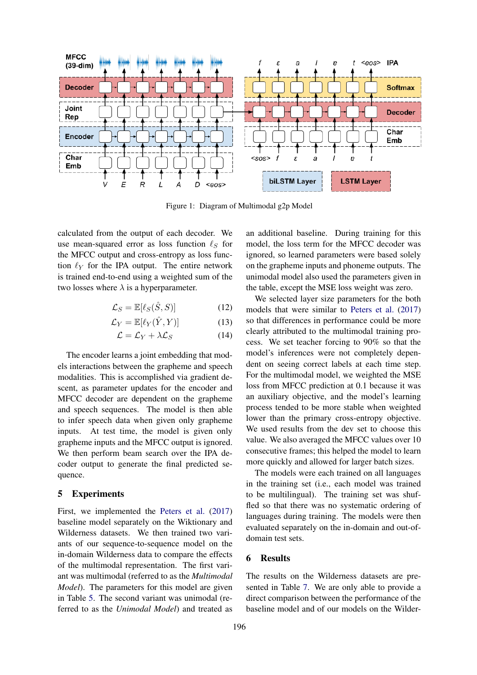<span id="page-4-0"></span>

Figure 1: Diagram of Multimodal g2p Model

calculated from the output of each decoder. We use mean-squared error as loss function  $\ell_S$  for the MFCC output and cross-entropy as loss function  $\ell_Y$  for the IPA output. The entire network is trained end-to-end using a weighted sum of the two losses where  $\lambda$  is a hyperparameter.

$$
\mathcal{L}_S = \mathbb{E}[\ell_S(\hat{S}, S)] \tag{12}
$$

$$
\mathcal{L}_Y = \mathbb{E}[\ell_Y(\hat{Y}, Y)] \tag{13}
$$

$$
\mathcal{L} = \mathcal{L}_Y + \lambda \mathcal{L}_S \tag{14}
$$

The encoder learns a joint embedding that models interactions between the grapheme and speech modalities. This is accomplished via gradient descent, as parameter updates for the encoder and MFCC decoder are dependent on the grapheme and speech sequences. The model is then able to infer speech data when given only grapheme inputs. At test time, the model is given only grapheme inputs and the MFCC output is ignored. We then perform beam search over the IPA decoder output to generate the final predicted sequence.

### 5 Experiments

First, we implemented the [Peters et al.](#page-8-8) [\(2017\)](#page-8-8) baseline model separately on the Wiktionary and Wilderness datasets. We then trained two variants of our sequence-to-sequence model on the in-domain Wilderness data to compare the effects of the multimodal representation. The first variant was multimodal (referred to as the *Multimodal Model*). The parameters for this model are given in Table [5.](#page-5-0) The second variant was unimodal (referred to as the *Unimodal Model*) and treated as

an additional baseline. During training for this model, the loss term for the MFCC decoder was ignored, so learned parameters were based solely on the grapheme inputs and phoneme outputs. The unimodal model also used the parameters given in the table, except the MSE loss weight was zero.

We selected layer size parameters for the both models that were similar to [Peters et al.](#page-8-8) [\(2017\)](#page-8-8) so that differences in performance could be more clearly attributed to the multimodal training process. We set teacher forcing to 90% so that the model's inferences were not completely dependent on seeing correct labels at each time step. For the multimodal model, we weighted the MSE loss from MFCC prediction at 0.1 because it was an auxiliary objective, and the model's learning process tended to be more stable when weighted lower than the primary cross-entropy objective. We used results from the dev set to choose this value. We also averaged the MFCC values over 10 consecutive frames; this helped the model to learn more quickly and allowed for larger batch sizes.

The models were each trained on all languages in the training set (i.e., each model was trained to be multilingual). The training set was shuffled so that there was no systematic ordering of languages during training. The models were then evaluated separately on the in-domain and out-ofdomain test sets.

### 6 Results

The results on the Wilderness datasets are presented in Table [7.](#page-5-1) We are only able to provide a direct comparison between the performance of the baseline model and of our models on the Wilder-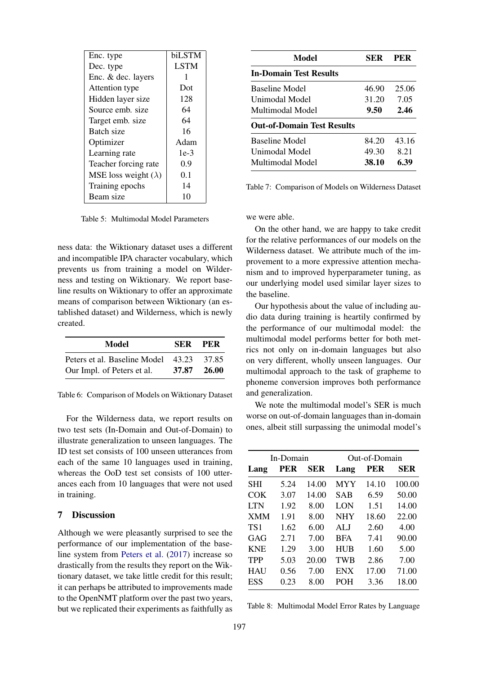<span id="page-5-0"></span>

| Enc. type                     | biLSTM      |
|-------------------------------|-------------|
| Dec. type                     | <b>LSTM</b> |
| Enc. & dec. layers            | 1           |
| Attention type                | Dot         |
| Hidden layer size             | 128         |
| Source emb. size              | 64          |
| Target emb. size              | 64          |
| Batch size                    | 16          |
| Optimizer                     | Adam        |
| Learning rate                 | $1e-3$      |
| Teacher forcing rate          | 0.9         |
| MSE loss weight ( $\lambda$ ) | 0.1         |
| Training epochs               | 14          |
| Beam size                     | 10          |

Table 5: Multimodal Model Parameters

ness data: the Wiktionary dataset uses a different and incompatible IPA character vocabulary, which prevents us from training a model on Wilderness and testing on Wiktionary. We report baseline results on Wiktionary to offer an approximate means of comparison between Wiktionary (an established dataset) and Wilderness, which is newly created.

| Model                                    | SER PER |             |
|------------------------------------------|---------|-------------|
| Peters et al. Baseline Model 43.23 37.85 |         |             |
| Our Impl. of Peters et al.               |         | 37.87 26.00 |

Table 6: Comparison of Models on Wiktionary Dataset

For the Wilderness data, we report results on two test sets (In-Domain and Out-of-Domain) to illustrate generalization to unseen languages. The ID test set consists of 100 unseen utterances from each of the same 10 languages used in training, whereas the OoD test set consists of 100 utterances each from 10 languages that were not used in training.

### 7 Discussion

Although we were pleasantly surprised to see the performance of our implementation of the baseline system from [Peters et al.](#page-8-8) [\(2017\)](#page-8-8) increase so drastically from the results they report on the Wiktionary dataset, we take little credit for this result; it can perhaps be attributed to improvements made to the OpenNMT platform over the past two years, but we replicated their experiments as faithfully as

<span id="page-5-1"></span>

| Model                             | <b>SER</b> | <b>PER</b> |
|-----------------------------------|------------|------------|
| <b>In-Domain Test Results</b>     |            |            |
| Baseline Model                    | 46.90      | 25.06      |
| Unimodal Model                    | 31.20      | 7.05       |
| Multimodal Model                  | 9.50       | 2.46       |
| <b>Out-of-Domain Test Results</b> |            |            |
| Baseline Model                    | 84.20      | 43.16      |
| Unimodal Model                    | 49.30      | 8.21       |
| Multimodal Model                  | 38.10      | 6.39       |

Table 7: Comparison of Models on Wilderness Dataset

we were able.

On the other hand, we are happy to take credit for the relative performances of our models on the Wilderness dataset. We attribute much of the improvement to a more expressive attention mechanism and to improved hyperparameter tuning, as our underlying model used similar layer sizes to the baseline.

Our hypothesis about the value of including audio data during training is heartily confirmed by the performance of our multimodal model: the multimodal model performs better for both metrics not only on in-domain languages but also on very different, wholly unseen languages. Our multimodal approach to the task of grapheme to phoneme conversion improves both performance and generalization.

We note the multimodal model's SER is much worse on out-of-domain languages than in-domain ones, albeit still surpassing the unimodal model's

<span id="page-5-2"></span>

| In-Domain       |      |       | Out-of-Domain |       |            |
|-----------------|------|-------|---------------|-------|------------|
| Lang            | PER  | SER   | Lang          | PER   | <b>SER</b> |
| <b>SHI</b>      | 5.24 | 14.00 | <b>MYY</b>    | 14.10 | 100.00     |
| COK             | 3.07 | 14.00 | SAB           | 6.59  | 50.00      |
| <b>LTN</b>      | 1.92 | 8.00  | LON           | 1.51  | 14.00      |
| <b>XMM</b>      | 1.91 | 8.00  | <b>NHY</b>    | 18.60 | 22.00      |
| TS <sub>1</sub> | 1.62 | 6.00  | <b>ALJ</b>    | 2.60  | 4.00       |
| GAG             | 2.71 | 7.00  | <b>BFA</b>    | 7.41  | 90.00      |
| <b>KNE</b>      | 1.29 | 3.00  | <b>HUB</b>    | 1.60  | 5.00       |
| <b>TPP</b>      | 5.03 | 20.00 | <b>TWB</b>    | 2.86  | 7.00       |
| <b>HAU</b>      | 0.56 | 7.00  | <b>ENX</b>    | 17.00 | 71.00      |
| ESS             | 0.23 | 8.00  | <b>POH</b>    | 3.36  | 18.00      |

Table 8: Multimodal Model Error Rates by Language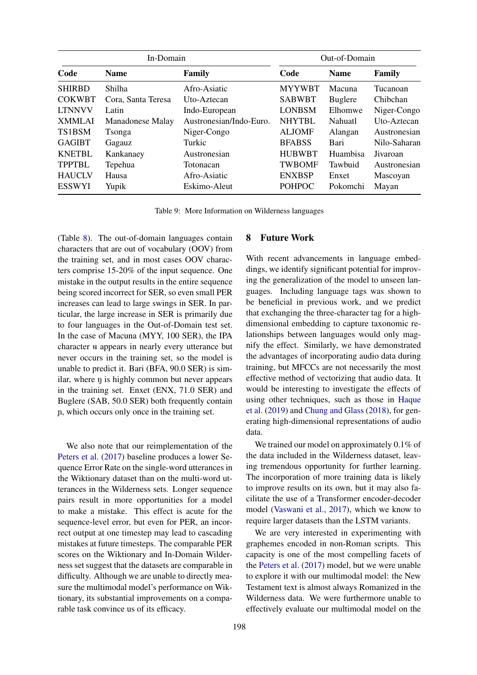<span id="page-6-0"></span>

| In-Domain     |                    | Out-of-Domain           |               |                |              |
|---------------|--------------------|-------------------------|---------------|----------------|--------------|
| Code          | <b>Name</b>        | Family                  | Code          | <b>Name</b>    | Family       |
| <b>SHIRBD</b> | Shilha             | Afro-Asiatic            | <b>MYYWBT</b> | Macuna         | Tucanoan     |
| <b>COKWBT</b> | Cora, Santa Teresa | Uto-Aztecan             | <b>SABWBT</b> | <b>Buglere</b> | Chibchan     |
| <b>LTNNVV</b> | Latin              | Indo-European           | <b>LONBSM</b> | Elhomwe        | Niger-Congo  |
| <b>XMMLAI</b> | Manadonese Malay   | Austronesian/Indo-Euro. | <b>NHYTBL</b> | Nahuatl        | Uto-Aztecan  |
| TS1BSM        | Tsonga             | Niger-Congo             | <b>ALJOMF</b> | Alangan        | Austronesian |
| <b>GAGIBT</b> | Gagauz             | Turkic                  | <b>BFABSS</b> | Bari           | Nilo-Saharan |
| <b>KNETBL</b> | Kankanaey          | Austronesian            | <b>HUBWBT</b> | Huambisa       | Jivaroan     |
| <b>TPPTBL</b> | Tepehua            | Totonacan               | <b>TWBOMF</b> | Tawbuid        | Austronesian |
| <b>HAUCLV</b> | Hausa              | Afro-Asiatic            | <b>ENXBSP</b> | Enxet          | Mascoyan     |
| <b>ESSWYI</b> | Yupik              | Eskimo-Aleut            | <b>POHPOC</b> | Pokomchi       | Mayan        |

Table 9: More Information on Wilderness languages

(Table [8\)](#page-5-2). The out-of-domain languages contain characters that are out of vocabulary (OOV) from the training set, and in most cases OOV characters comprise 15-20% of the input sequence. One mistake in the output results in the entire sequence being scored incorrect for SER, so even small PER increases can lead to large swings in SER. In particular, the large increase in SER is primarily due to four languages in the Out-of-Domain test set. In the case of Macuna (MYY, 100 SER), the IPA character  $\mu$  appears in nearly every utterance but never occurs in the training set, so the model is unable to predict it. Bari (BFA, 90.0 SER) is similar, where  $\eta$  is highly common but never appears in the training set. Enxet (ENX, 71.0 SER) and Buglere (SAB, 50.0 SER) both frequently contain ñ, which occurs only once in the training set.

We also note that our reimplementation of the [Peters et al.](#page-8-8) [\(2017\)](#page-8-8) baseline produces a lower Sequence Error Rate on the single-word utterances in the Wiktionary dataset than on the multi-word utterances in the Wilderness sets. Longer sequence pairs result in more opportunities for a model to make a mistake. This effect is acute for the sequence-level error, but even for PER, an incorrect output at one timestep may lead to cascading mistakes at future timesteps. The comparable PER scores on the Wiktionary and In-Domain Wilderness set suggest that the datasets are comparable in difficulty. Although we are unable to directly measure the multimodal model's performance on Wiktionary, its substantial improvements on a comparable task convince us of its efficacy.

#### 8 Future Work

With recent advancements in language embeddings, we identify significant potential for improving the generalization of the model to unseen languages. Including language tags was shown to be beneficial in previous work, and we predict that exchanging the three-character tag for a highdimensional embedding to capture taxonomic relationships between languages would only magnify the effect. Similarly, we have demonstrated the advantages of incorporating audio data during training, but MFCCs are not necessarily the most effective method of vectorizing that audio data. It would be interesting to investigate the effects of using other techniques, such as those in [Haque](#page-8-23) [et al.](#page-8-23) [\(2019\)](#page-8-23) and [Chung and Glass](#page-8-24) [\(2018\)](#page-8-24), for generating high-dimensional representations of audio data.

We trained our model on approximately 0.1% of the data included in the Wilderness dataset, leaving tremendous opportunity for further learning. The incorporation of more training data is likely to improve results on its own, but it may also facilitate the use of a Transformer encoder-decoder model [\(Vaswani et al.,](#page-8-22) [2017\)](#page-8-22), which we know to require larger datasets than the LSTM variants.

We are very interested in experimenting with graphemes encoded in non-Roman scripts. This capacity is one of the most compelling facets of the [Peters et al.](#page-8-8) [\(2017\)](#page-8-8) model, but we were unable to explore it with our multimodal model: the New Testament text is almost always Romanized in the Wilderness data. We were furthermore unable to effectively evaluate our multimodal model on the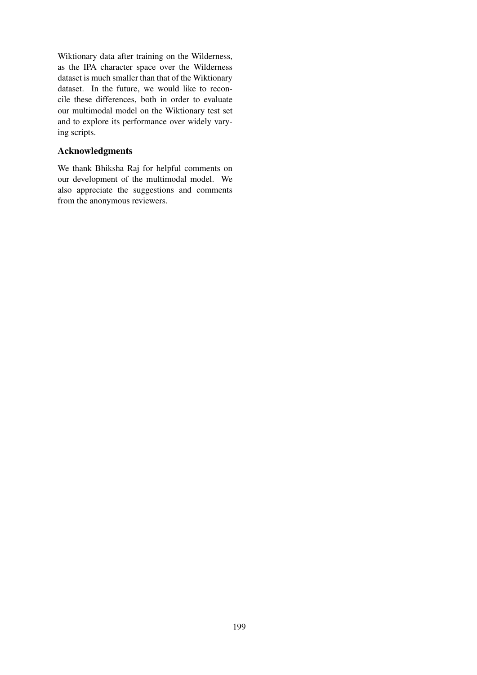Wiktionary data after training on the Wilderness, as the IPA character space over the Wilderness dataset is much smaller than that of the Wiktionary dataset. In the future, we would like to reconcile these differences, both in order to evaluate our multimodal model on the Wiktionary test set and to explore its performance over widely varying scripts.

# Acknowledgments

We thank Bhiksha Raj for helpful comments on our development of the multimodal model. We also appreciate the suggestions and comments from the anonymous reviewers.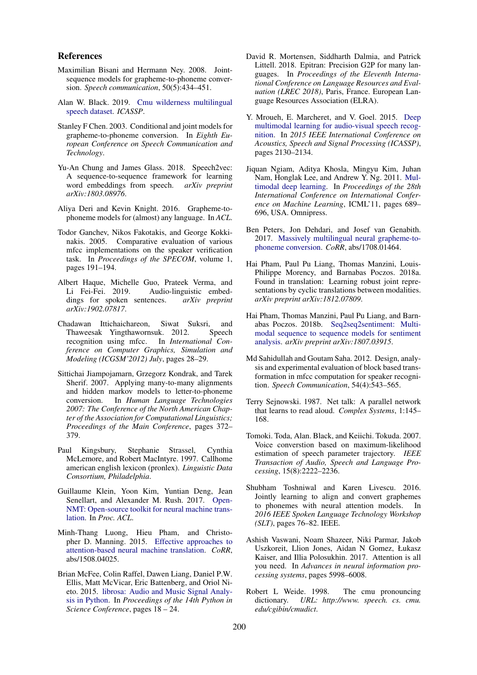#### References

- <span id="page-8-5"></span>Maximilian Bisani and Hermann Ney. 2008. Jointsequence models for grapheme-to-phoneme conversion. *Speech communication*, 50(5):434–451.
- <span id="page-8-9"></span>Alan W. Black. 2019. [Cmu wilderness multilingual](https://github.com/festvox/datasets-CMU_Wilderness) [speech dataset.](https://github.com/festvox/datasets-CMU_Wilderness) *ICASSP*.
- <span id="page-8-4"></span>Stanley F Chen. 2003. Conditional and joint models for grapheme-to-phoneme conversion. In *Eighth European Conference on Speech Communication and Technology*.
- <span id="page-8-24"></span>Yu-An Chung and James Glass. 2018. Speech2vec: A sequence-to-sequence framework for learning word embeddings from speech. *arXiv preprint arXiv:1803.08976*.
- <span id="page-8-3"></span>Aliya Deri and Kevin Knight. 2016. Grapheme-tophoneme models for (almost) any language. In *ACL*.
- <span id="page-8-11"></span>Todor Ganchev, Nikos Fakotakis, and George Kokkinakis. 2005. Comparative evaluation of various mfcc implementations on the speaker verification task. In *Proceedings of the SPECOM*, volume 1, pages 191–194.
- <span id="page-8-23"></span>Albert Haque, Michelle Guo, Prateek Verma, and<br>Li Fei-Fei. 2019. Audio-linguistic embed-Audio-linguistic embeddings for spoken sentences. *arXiv preprint arXiv:1902.07817*.
- <span id="page-8-12"></span>Chadawan Ittichaichareon, Siwat Suksri, and Thaweesak Yingthawornsuk. 2012. Speech recognition using mfcc. In *International Conference on Computer Graphics, Simulation and Modeling (ICGSM'2012) July*, pages 28–29.
- <span id="page-8-6"></span>Sittichai Jiampojamarn, Grzegorz Kondrak, and Tarek Sherif. 2007. Applying many-to-many alignments and hidden markov models to letter-to-phoneme conversion. In *Human Language Technologies 2007: The Conference of the North American Chapter of the Association for Computational Linguistics; Proceedings of the Main Conference*, pages 372– 379.
- <span id="page-8-1"></span>Paul Kingsbury, Stephanie Strassel, Cynthia McLemore, and Robert MacIntyre. 1997. Callhome american english lexicon (pronlex). *Linguistic Data Consortium, Philadelphia*.
- <span id="page-8-15"></span>Guillaume Klein, Yoon Kim, Yuntian Deng, Jean Senellart, and Alexander M. Rush. 2017. [Open-](https://doi.org/10.18653/v1/P17-4012)[NMT: Open-source toolkit for neural machine trans](https://doi.org/10.18653/v1/P17-4012)[lation.](https://doi.org/10.18653/v1/P17-4012) In *Proc. ACL*.
- <span id="page-8-16"></span>Minh-Thang Luong, Hieu Pham, and Christopher D. Manning. 2015. [Effective approaches to](http://arxiv.org/abs/1508.04025) [attention-based neural machine translation.](http://arxiv.org/abs/1508.04025) *CoRR*, abs/1508.04025.
- <span id="page-8-13"></span>Brian McFee, Colin Raffel, Dawen Liang, Daniel P.W. Ellis, Matt McVicar, Eric Battenberg, and Oriol Nieto. 2015. [librosa: Audio and Music Signal Analy](https://doi.org/10.5281/zenodo.591533)[sis in Python.](https://doi.org/10.5281/zenodo.591533) In *Proceedings of the 14th Python in Science Conference*, pages 18 – 24.
- <span id="page-8-17"></span>David R. Mortensen, Siddharth Dalmia, and Patrick Littell. 2018. Epitran: Precision G2P for many languages. In *Proceedings of the Eleventh International Conference on Language Resources and Evaluation (LREC 2018)*, Paris, France. European Language Resources Association (ELRA).
- <span id="page-8-19"></span>Y. Mroueh, E. Marcheret, and V. Goel. 2015. [Deep](https://doi.org/10.1109/ICASSP.2015.7178347) [multimodal learning for audio-visual speech recog](https://doi.org/10.1109/ICASSP.2015.7178347)[nition.](https://doi.org/10.1109/ICASSP.2015.7178347) In *2015 IEEE International Conference on Acoustics, Speech and Signal Processing (ICASSP)*, pages 2130–2134.
- <span id="page-8-18"></span>Jiquan Ngiam, Aditya Khosla, Mingyu Kim, Juhan Nam, Honglak Lee, and Andrew Y. Ng. 2011. [Mul](http://dl.acm.org/citation.cfm?id=3104482.3104569)[timodal deep learning.](http://dl.acm.org/citation.cfm?id=3104482.3104569) In *Proceedings of the 28th International Conference on International Conference on Machine Learning*, ICML'11, pages 689– 696, USA. Omnipress.
- <span id="page-8-8"></span>Ben Peters, Jon Dehdari, and Josef van Genabith. 2017. [Massively multilingual neural grapheme-to](http://arxiv.org/abs/1708.01464)[phoneme conversion.](http://arxiv.org/abs/1708.01464) *CoRR*, abs/1708.01464.
- <span id="page-8-21"></span>Hai Pham, Paul Pu Liang, Thomas Manzini, Louis-Philippe Morency, and Barnabas Poczos. 2018a. Found in translation: Learning robust joint representations by cyclic translations between modalities. *arXiv preprint arXiv:1812.07809*.
- <span id="page-8-20"></span>Hai Pham, Thomas Manzini, Paul Pu Liang, and Barnabas Poczos. 2018b. [Seq2seq2sentiment: Multi](http://arxiv.org/abs/1807.03915)[modal sequence to sequence models for sentiment](http://arxiv.org/abs/1807.03915) [analysis.](http://arxiv.org/abs/1807.03915) *arXiv preprint arXiv:1807.03915*.
- <span id="page-8-10"></span>Md Sahidullah and Goutam Saha. 2012. Design, analysis and experimental evaluation of block based transformation in mfcc computation for speaker recognition. *Speech Communication*, 54(4):543–565.
- <span id="page-8-2"></span>Terry Sejnowski. 1987. Net talk: A parallel network that learns to read aloud. *Complex Systems*, 1:145– 168.
- <span id="page-8-14"></span>Tomoki. Toda, Alan. Black, and Keiichi. Tokuda. 2007. Voice converstion based on maximum-likelihood estimation of speech parameter trajectory. *IEEE Transaction of Audio, Speech and Language Processing*, 15(8):2222–2236.
- <span id="page-8-7"></span>Shubham Toshniwal and Karen Livescu. 2016. Jointly learning to align and convert graphemes to phonemes with neural attention models. In *2016 IEEE Spoken Language Technology Workshop (SLT)*, pages 76–82. IEEE.
- <span id="page-8-22"></span>Ashish Vaswani, Noam Shazeer, Niki Parmar, Jakob Uszkoreit, Llion Jones, Aidan N Gomez, Łukasz Kaiser, and Illia Polosukhin. 2017. Attention is all you need. In *Advances in neural information processing systems*, pages 5998–6008.
- <span id="page-8-0"></span>Robert L Weide. 1998. The cmu pronouncing dictionary. *URL: http://www. speech. cs. cmu. edu/cgibin/cmudict*.